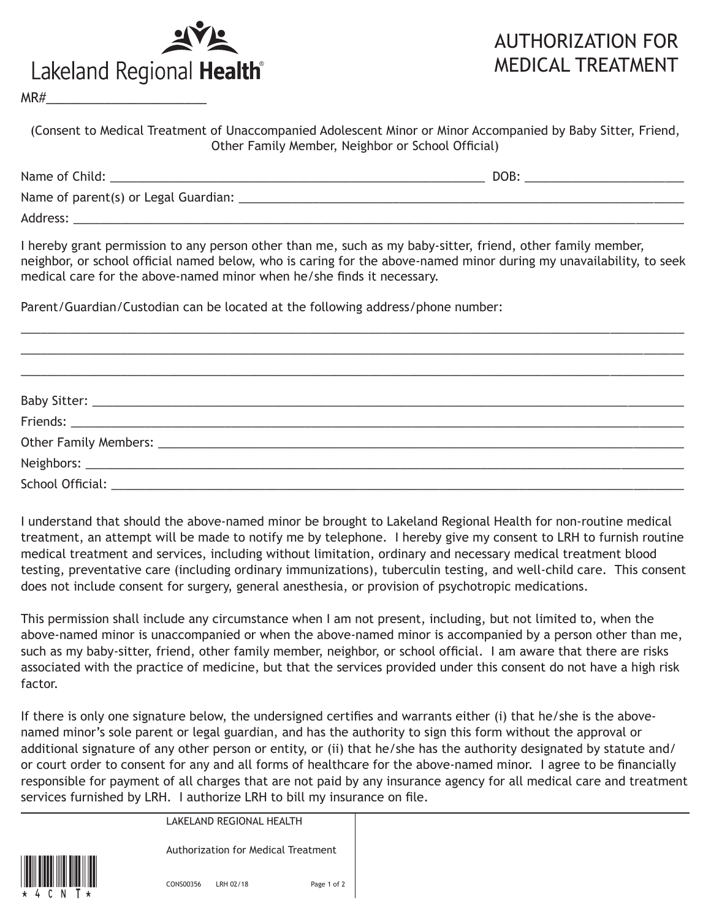

## AUTHORIZATION FOR MEDICAL TREATMENT

 $MR#$ 

(Consent to Medical Treatment of Unaccompanied Adolescent Minor or Minor Accompanied by Baby Sitter, Friend, Other Family Member, Neighbor or School Official)

| Name of Child:                       | DOB: |  |
|--------------------------------------|------|--|
| Name of parent(s) or Legal Guardian: |      |  |
| Address:                             |      |  |

I hereby grant permission to any person other than me, such as my baby-sitter, friend, other family member, neighbor, or school official named below, who is caring for the above-named minor during my unavailability, to seek medical care for the above-named minor when he/she finds it necessary.

\_\_\_\_\_\_\_\_\_\_\_\_\_\_\_\_\_\_\_\_\_\_\_\_\_\_\_\_\_\_\_\_\_\_\_\_\_\_\_\_\_\_\_\_\_\_\_\_\_\_\_\_\_\_\_\_\_\_\_\_\_\_\_\_\_\_\_\_\_\_\_\_\_\_\_\_\_\_\_\_\_\_\_\_\_\_\_\_\_\_\_\_\_\_\_\_\_\_\_  $\_$  ,  $\_$  ,  $\_$  ,  $\_$  ,  $\_$  ,  $\_$  ,  $\_$  ,  $\_$  ,  $\_$  ,  $\_$  ,  $\_$  ,  $\_$  ,  $\_$  ,  $\_$  ,  $\_$  ,  $\_$  ,  $\_$  ,  $\_$  ,  $\_$  ,  $\_$  ,  $\_$  ,  $\_$  ,  $\_$  ,  $\_$  ,  $\_$  ,  $\_$  ,  $\_$  ,  $\_$  ,  $\_$  ,  $\_$  ,  $\_$  ,  $\_$  ,  $\_$  ,  $\_$  ,  $\_$  ,  $\_$  ,  $\_$  , \_\_\_\_\_\_\_\_\_\_\_\_\_\_\_\_\_\_\_\_\_\_\_\_\_\_\_\_\_\_\_\_\_\_\_\_\_\_\_\_\_\_\_\_\_\_\_\_\_\_\_\_\_\_\_\_\_\_\_\_\_\_\_\_\_\_\_\_\_\_\_\_\_\_\_\_\_\_\_\_\_\_\_\_\_\_\_\_\_\_\_\_\_\_\_\_\_\_\_

Parent/Guardian/Custodian can be located at the following address/phone number:

I understand that should the above-named minor be brought to Lakeland Regional Health for non-routine medical treatment, an attempt will be made to notify me by telephone. I hereby give my consent to LRH to furnish routine medical treatment and services, including without limitation, ordinary and necessary medical treatment blood testing, preventative care (including ordinary immunizations), tuberculin testing, and well-child care. This consent does not include consent for surgery, general anesthesia, or provision of psychotropic medications.

This permission shall include any circumstance when I am not present, including, but not limited to, when the above-named minor is unaccompanied or when the above-named minor is accompanied by a person other than me, such as my baby-sitter, friend, other family member, neighbor, or school official. I am aware that there are risks associated with the practice of medicine, but that the services provided under this consent do not have a high risk factor.

If there is only one signature below, the undersigned certifies and warrants either (i) that he/she is the abovenamed minor's sole parent or legal guardian, and has the authority to sign this form without the approval or additional signature of any other person or entity, or (ii) that he/she has the authority designated by statute and/ or court order to consent for any and all forms of healthcare for the above-named minor. I agree to be financially responsible for payment of all charges that are not paid by any insurance agency for all medical care and treatment services furnished by LRH. I authorize LRH to bill my insurance on file.

LAKELAND REGIONAL HEALTH

Authorization for Medical Treatment



CONS00356 LRH 02/18 Page 1 of 2